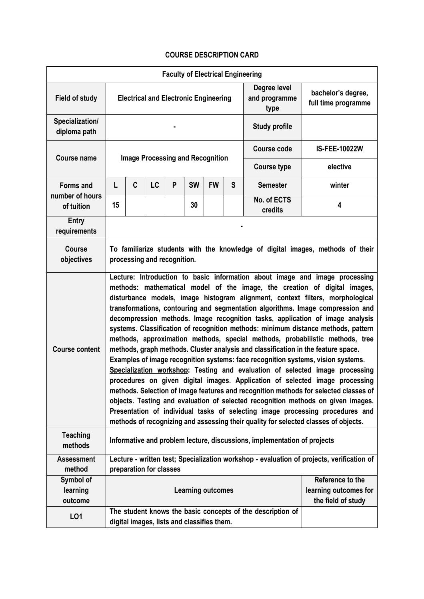## **COURSE DESCRIPTION CARD**

| <b>Faculty of Electrical Engineering</b> |                                                                                                                                                                                                                                                                                                                                                                                                                                                                                                                                                                                                                                                                                                                                                                                                                                                                                                                                                                                                                                                                                                                                                                                                                                                                                |                                            |                                         |   |           |           |                                       |                                                            |                                                                                           |  |
|------------------------------------------|--------------------------------------------------------------------------------------------------------------------------------------------------------------------------------------------------------------------------------------------------------------------------------------------------------------------------------------------------------------------------------------------------------------------------------------------------------------------------------------------------------------------------------------------------------------------------------------------------------------------------------------------------------------------------------------------------------------------------------------------------------------------------------------------------------------------------------------------------------------------------------------------------------------------------------------------------------------------------------------------------------------------------------------------------------------------------------------------------------------------------------------------------------------------------------------------------------------------------------------------------------------------------------|--------------------------------------------|-----------------------------------------|---|-----------|-----------|---------------------------------------|------------------------------------------------------------|-------------------------------------------------------------------------------------------|--|
| <b>Field of study</b>                    | <b>Electrical and Electronic Engineering</b>                                                                                                                                                                                                                                                                                                                                                                                                                                                                                                                                                                                                                                                                                                                                                                                                                                                                                                                                                                                                                                                                                                                                                                                                                                   |                                            |                                         |   |           |           | Degree level<br>and programme<br>type | bachelor's degree,<br>full time programme                  |                                                                                           |  |
| Specialization/<br>diploma path          | <b>Study profile</b>                                                                                                                                                                                                                                                                                                                                                                                                                                                                                                                                                                                                                                                                                                                                                                                                                                                                                                                                                                                                                                                                                                                                                                                                                                                           |                                            |                                         |   |           |           |                                       |                                                            |                                                                                           |  |
| <b>Course name</b>                       |                                                                                                                                                                                                                                                                                                                                                                                                                                                                                                                                                                                                                                                                                                                                                                                                                                                                                                                                                                                                                                                                                                                                                                                                                                                                                |                                            |                                         |   |           |           | <b>Course code</b>                    | <b>IS-FEE-10022W</b>                                       |                                                                                           |  |
|                                          |                                                                                                                                                                                                                                                                                                                                                                                                                                                                                                                                                                                                                                                                                                                                                                                                                                                                                                                                                                                                                                                                                                                                                                                                                                                                                |                                            | <b>Image Processing and Recognition</b> |   |           |           | <b>Course type</b>                    | elective                                                   |                                                                                           |  |
| <b>Forms and</b>                         | L                                                                                                                                                                                                                                                                                                                                                                                                                                                                                                                                                                                                                                                                                                                                                                                                                                                                                                                                                                                                                                                                                                                                                                                                                                                                              | C                                          | LC                                      | P | <b>SW</b> | <b>FW</b> | S                                     | <b>Semester</b>                                            | winter                                                                                    |  |
| number of hours<br>of tuition            | 15                                                                                                                                                                                                                                                                                                                                                                                                                                                                                                                                                                                                                                                                                                                                                                                                                                                                                                                                                                                                                                                                                                                                                                                                                                                                             |                                            |                                         |   | 30        |           |                                       | No. of ECTS<br>credits                                     | 4                                                                                         |  |
| Entry<br>requirements                    |                                                                                                                                                                                                                                                                                                                                                                                                                                                                                                                                                                                                                                                                                                                                                                                                                                                                                                                                                                                                                                                                                                                                                                                                                                                                                |                                            |                                         |   |           |           |                                       |                                                            |                                                                                           |  |
| <b>Course</b><br>objectives              | To familiarize students with the knowledge of digital images, methods of their<br>processing and recognition.                                                                                                                                                                                                                                                                                                                                                                                                                                                                                                                                                                                                                                                                                                                                                                                                                                                                                                                                                                                                                                                                                                                                                                  |                                            |                                         |   |           |           |                                       |                                                            |                                                                                           |  |
| <b>Course content</b>                    | Lecture: Introduction to basic information about image and image processing<br>methods: mathematical model of the image, the creation of digital images,<br>disturbance models, image histogram alignment, context filters, morphological<br>transformations, contouring and segmentation algorithms. Image compression and<br>decompression methods. Image recognition tasks, application of image analysis<br>systems. Classification of recognition methods: minimum distance methods, pattern<br>methods, approximation methods, special methods, probabilistic methods, tree<br>methods, graph methods. Cluster analysis and classification in the feature space.<br>Examples of image recognition systems: face recognition systems, vision systems.<br>Specialization workshop: Testing and evaluation of selected image processing<br>procedures on given digital images. Application of selected image processing<br>methods. Selection of image features and recognition methods for selected classes of<br>objects. Testing and evaluation of selected recognition methods on given images.<br>Presentation of individual tasks of selecting image processing procedures and<br>methods of recognizing and assessing their quality for selected classes of objects. |                                            |                                         |   |           |           |                                       |                                                            |                                                                                           |  |
| <b>Teaching</b><br>methods               | Informative and problem lecture, discussions, implementation of projects                                                                                                                                                                                                                                                                                                                                                                                                                                                                                                                                                                                                                                                                                                                                                                                                                                                                                                                                                                                                                                                                                                                                                                                                       |                                            |                                         |   |           |           |                                       |                                                            |                                                                                           |  |
| <b>Assessment</b><br>method              |                                                                                                                                                                                                                                                                                                                                                                                                                                                                                                                                                                                                                                                                                                                                                                                                                                                                                                                                                                                                                                                                                                                                                                                                                                                                                | preparation for classes                    |                                         |   |           |           |                                       |                                                            | Lecture - written test; Specialization workshop - evaluation of projects, verification of |  |
| Symbol of<br>learning<br>outcome         | Reference to the<br><b>Learning outcomes</b><br>the field of study                                                                                                                                                                                                                                                                                                                                                                                                                                                                                                                                                                                                                                                                                                                                                                                                                                                                                                                                                                                                                                                                                                                                                                                                             |                                            |                                         |   |           |           | learning outcomes for                 |                                                            |                                                                                           |  |
| LO1                                      |                                                                                                                                                                                                                                                                                                                                                                                                                                                                                                                                                                                                                                                                                                                                                                                                                                                                                                                                                                                                                                                                                                                                                                                                                                                                                | digital images, lists and classifies them. |                                         |   |           |           |                                       | The student knows the basic concepts of the description of |                                                                                           |  |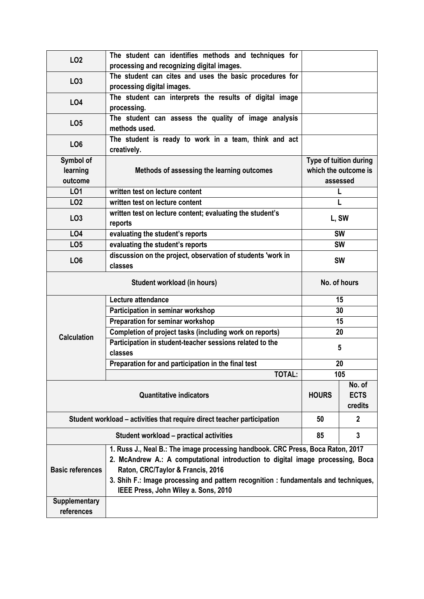| <b>LO2</b>                                                              | The student can identifies methods and techniques for<br>processing and recognizing digital images.                                                                                                                                                                                                                                   |                                  |  |  |  |  |  |
|-------------------------------------------------------------------------|---------------------------------------------------------------------------------------------------------------------------------------------------------------------------------------------------------------------------------------------------------------------------------------------------------------------------------------|----------------------------------|--|--|--|--|--|
| LO <sub>3</sub>                                                         | The student can cites and uses the basic procedures for                                                                                                                                                                                                                                                                               |                                  |  |  |  |  |  |
|                                                                         | processing digital images.                                                                                                                                                                                                                                                                                                            |                                  |  |  |  |  |  |
| L04                                                                     | The student can interprets the results of digital image<br>processing.                                                                                                                                                                                                                                                                |                                  |  |  |  |  |  |
| LO <sub>5</sub>                                                         | The student can assess the quality of image analysis<br>methods used.                                                                                                                                                                                                                                                                 |                                  |  |  |  |  |  |
| LO <sub>6</sub>                                                         | The student is ready to work in a team, think and act<br>creatively.                                                                                                                                                                                                                                                                  |                                  |  |  |  |  |  |
| Symbol of                                                               |                                                                                                                                                                                                                                                                                                                                       | Type of tuition during           |  |  |  |  |  |
| learning                                                                | Methods of assessing the learning outcomes                                                                                                                                                                                                                                                                                            | which the outcome is             |  |  |  |  |  |
| outcome                                                                 |                                                                                                                                                                                                                                                                                                                                       | assessed                         |  |  |  |  |  |
| L01                                                                     | written test on lecture content                                                                                                                                                                                                                                                                                                       | L                                |  |  |  |  |  |
| LO <sub>2</sub>                                                         | written test on lecture content                                                                                                                                                                                                                                                                                                       | L                                |  |  |  |  |  |
| LO <sub>3</sub>                                                         | written test on lecture content; evaluating the student's<br>reports                                                                                                                                                                                                                                                                  | L, SW                            |  |  |  |  |  |
| LO4                                                                     | evaluating the student's reports                                                                                                                                                                                                                                                                                                      | <b>SW</b>                        |  |  |  |  |  |
| LO <sub>5</sub>                                                         | evaluating the student's reports                                                                                                                                                                                                                                                                                                      | <b>SW</b>                        |  |  |  |  |  |
| LO <sub>6</sub>                                                         | discussion on the project, observation of students 'work in<br>classes                                                                                                                                                                                                                                                                | <b>SW</b>                        |  |  |  |  |  |
|                                                                         | No. of hours                                                                                                                                                                                                                                                                                                                          |                                  |  |  |  |  |  |
|                                                                         | Lecture attendance                                                                                                                                                                                                                                                                                                                    | 15                               |  |  |  |  |  |
|                                                                         | Participation in seminar workshop                                                                                                                                                                                                                                                                                                     | 30                               |  |  |  |  |  |
|                                                                         | Preparation for seminar workshop                                                                                                                                                                                                                                                                                                      | 15                               |  |  |  |  |  |
|                                                                         | Completion of project tasks (including work on reports)                                                                                                                                                                                                                                                                               | 20                               |  |  |  |  |  |
| <b>Calculation</b>                                                      | Participation in student-teacher sessions related to the<br>classes                                                                                                                                                                                                                                                                   | 5                                |  |  |  |  |  |
|                                                                         | Preparation for and participation in the final test                                                                                                                                                                                                                                                                                   | 20                               |  |  |  |  |  |
|                                                                         | <b>TOTAL:</b>                                                                                                                                                                                                                                                                                                                         | 105                              |  |  |  |  |  |
|                                                                         | <b>HOURS</b>                                                                                                                                                                                                                                                                                                                          | No. of<br><b>ECTS</b><br>credits |  |  |  |  |  |
| Student workload – activities that require direct teacher participation | 50                                                                                                                                                                                                                                                                                                                                    | $\mathbf{2}$                     |  |  |  |  |  |
|                                                                         | 85                                                                                                                                                                                                                                                                                                                                    | $\mathbf{3}$                     |  |  |  |  |  |
| <b>Basic references</b>                                                 | 1. Russ J., Neal B.: The image processing handbook. CRC Press, Boca Raton, 2017<br>2. McAndrew A.: A computational introduction to digital image processing, Boca<br>Raton, CRC/Taylor & Francis, 2016<br>3. Shih F.: Image processing and pattern recognition : fundamentals and techniques,<br>IEEE Press, John Wiley a. Sons, 2010 |                                  |  |  |  |  |  |
| <b>Supplementary</b>                                                    |                                                                                                                                                                                                                                                                                                                                       |                                  |  |  |  |  |  |
| references                                                              |                                                                                                                                                                                                                                                                                                                                       |                                  |  |  |  |  |  |